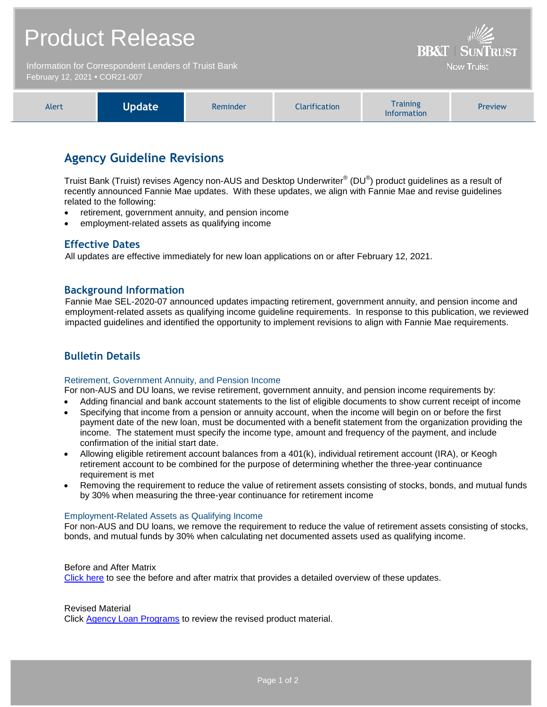| <b>Product Release</b>                                                                |               |          |                      | <b>BB&amp;T   SUNTRUST</b>                                                                                                            |         |
|---------------------------------------------------------------------------------------|---------------|----------|----------------------|---------------------------------------------------------------------------------------------------------------------------------------|---------|
| Information for Correspondent Lenders of Truist Bank<br>February 12, 2021 . COR21-007 |               |          |                      | <b>Now Truist</b>                                                                                                                     |         |
|                                                                                       |               |          |                      |                                                                                                                                       |         |
| Alert                                                                                 | <b>Update</b> | Reminder | <b>Clarification</b> | <b>Training</b><br>$\mathbf{1}$ and $\mathbf{1}$ and $\mathbf{1}$ and $\mathbf{1}$ and $\mathbf{1}$ and $\mathbf{1}$ and $\mathbf{1}$ | Preview |

# **Agency Guideline Revisions**

Truist Bank (Truist) revises Agency non-AUS and Desktop Underwriter® (DU®) product guidelines as a result of recently announced Fannie Mae updates. With these updates, we align with Fannie Mae and revise guidelines related to the following:

Information

- retirement, government annuity, and pension income
- employment-related assets as qualifying income

### **Effective Dates**

All updates are effective immediately for new loan applications on or after February 12, 2021.

### **Background Information**

Fannie Mae SEL-2020-07 announced updates impacting retirement, government annuity, and pension income and employment-related assets as qualifying income guideline requirements. In response to this publication, we reviewed impacted guidelines and identified the opportunity to implement revisions to align with Fannie Mae requirements.

# **Bulletin Details**

#### Retirement, Government Annuity, and Pension Income

For non-AUS and DU loans, we revise retirement, government annuity, and pension income requirements by:

- Adding financial and bank account statements to the list of eligible documents to show current receipt of income
- Specifying that income from a pension or annuity account, when the income will begin on or before the first payment date of the new loan, must be documented with a benefit statement from the organization providing the income. The statement must specify the income type, amount and frequency of the payment, and include confirmation of the initial start date.
- Allowing eligible retirement account balances from a 401(k), individual retirement account (IRA), or Keogh retirement account to be combined for the purpose of determining whether the three-year continuance requirement is met
- Removing the requirement to reduce the value of retirement assets consisting of stocks, bonds, and mutual funds by 30% when measuring the three-year continuance for retirement income

#### Employment-Related Assets as Qualifying Income

For non-AUS and DU loans, we remove the requirement to reduce the value of retirement assets consisting of stocks, bonds, and mutual funds by 30% when calculating net documented assets used as qualifying income.

### Before and After Matrix

[Click here](http://www.truistsellerguide.com/manual/cor/products/Cr21-007BA.pdf) to see the before and after matrix that provides a detailed overview of these updates.

#### Revised Material

Click [Agency Loan Programs](https://www.truistsellerguide.com/manual/cor/products/CAgency.pdf) to review the revised product material.